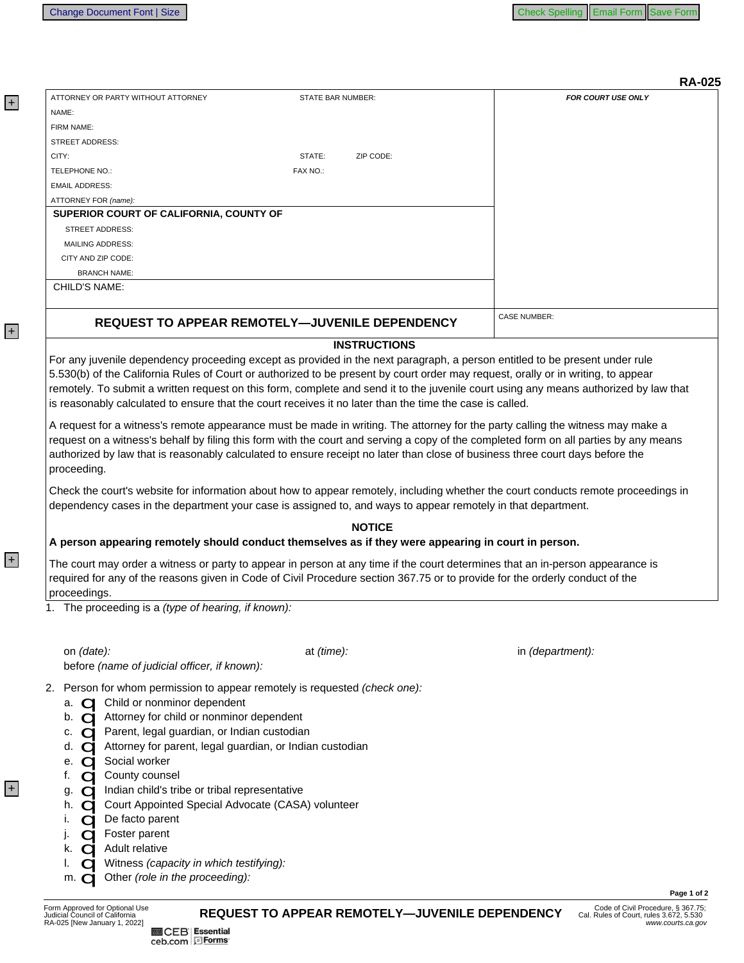|                                                                                                                                                                                                                |                                                       | <b>RA-025</b>                                                                                                                                                                                                                                                                                                                                                                                            |
|----------------------------------------------------------------------------------------------------------------------------------------------------------------------------------------------------------------|-------------------------------------------------------|----------------------------------------------------------------------------------------------------------------------------------------------------------------------------------------------------------------------------------------------------------------------------------------------------------------------------------------------------------------------------------------------------------|
| ATTORNEY OR PARTY WITHOUT ATTORNEY                                                                                                                                                                             | <b>STATE BAR NUMBER:</b>                              | FOR COURT USE ONLY                                                                                                                                                                                                                                                                                                                                                                                       |
| NAME:                                                                                                                                                                                                          |                                                       |                                                                                                                                                                                                                                                                                                                                                                                                          |
| FIRM NAME:                                                                                                                                                                                                     |                                                       |                                                                                                                                                                                                                                                                                                                                                                                                          |
| <b>STREET ADDRESS:</b>                                                                                                                                                                                         |                                                       |                                                                                                                                                                                                                                                                                                                                                                                                          |
| CITY:                                                                                                                                                                                                          | STATE:<br>ZIP CODE:                                   |                                                                                                                                                                                                                                                                                                                                                                                                          |
| TELEPHONE NO.:                                                                                                                                                                                                 | FAX NO.:                                              |                                                                                                                                                                                                                                                                                                                                                                                                          |
| <b>EMAIL ADDRESS:</b>                                                                                                                                                                                          |                                                       |                                                                                                                                                                                                                                                                                                                                                                                                          |
| ATTORNEY FOR (name):                                                                                                                                                                                           |                                                       |                                                                                                                                                                                                                                                                                                                                                                                                          |
| SUPERIOR COURT OF CALIFORNIA, COUNTY OF                                                                                                                                                                        |                                                       |                                                                                                                                                                                                                                                                                                                                                                                                          |
| STREET ADDRESS:                                                                                                                                                                                                |                                                       |                                                                                                                                                                                                                                                                                                                                                                                                          |
| <b>MAILING ADDRESS:</b>                                                                                                                                                                                        |                                                       |                                                                                                                                                                                                                                                                                                                                                                                                          |
| CITY AND ZIP CODE:                                                                                                                                                                                             |                                                       |                                                                                                                                                                                                                                                                                                                                                                                                          |
| <b>BRANCH NAME:</b>                                                                                                                                                                                            |                                                       |                                                                                                                                                                                                                                                                                                                                                                                                          |
| CHILD'S NAME:                                                                                                                                                                                                  |                                                       |                                                                                                                                                                                                                                                                                                                                                                                                          |
|                                                                                                                                                                                                                | <b>REQUEST TO APPEAR REMOTELY-JUVENILE DEPENDENCY</b> | <b>CASE NUMBER:</b>                                                                                                                                                                                                                                                                                                                                                                                      |
|                                                                                                                                                                                                                | <b>INSTRUCTIONS</b>                                   |                                                                                                                                                                                                                                                                                                                                                                                                          |
|                                                                                                                                                                                                                |                                                       | For any juvenile dependency proceeding except as provided in the next paragraph, a person entitled to be present under rule                                                                                                                                                                                                                                                                              |
| is reasonably calculated to ensure that the court receives it no later than the time the case is called.                                                                                                       |                                                       | 5.530(b) of the California Rules of Court or authorized to be present by court order may request, orally or in writing, to appear<br>remotely. To submit a written request on this form, complete and send it to the juvenile court using any means authorized by law that                                                                                                                               |
| proceeding.                                                                                                                                                                                                    |                                                       | A request for a witness's remote appearance must be made in writing. The attorney for the party calling the witness may make a<br>request on a witness's behalf by filing this form with the court and serving a copy of the completed form on all parties by any means<br>authorized by law that is reasonably calculated to ensure receipt no later than close of business three court days before the |
|                                                                                                                                                                                                                |                                                       |                                                                                                                                                                                                                                                                                                                                                                                                          |
| dependency cases in the department your case is assigned to, and ways to appear remotely in that department.                                                                                                   |                                                       | Check the court's website for information about how to appear remotely, including whether the court conducts remote proceedings in                                                                                                                                                                                                                                                                       |
|                                                                                                                                                                                                                | <b>NOTICE</b>                                         |                                                                                                                                                                                                                                                                                                                                                                                                          |
| A person appearing remotely should conduct themselves as if they were appearing in court in person.                                                                                                            |                                                       |                                                                                                                                                                                                                                                                                                                                                                                                          |
|                                                                                                                                                                                                                |                                                       | The court may order a witness or party to appear in person at any time if the court determines that an in-person appearance is<br>required for any of the reasons given in Code of Civil Procedure section 367.75 or to provide for the orderly conduct of the                                                                                                                                           |
| proceedings.<br>The proceeding is a (type of hearing, if known):<br>1.                                                                                                                                         |                                                       |                                                                                                                                                                                                                                                                                                                                                                                                          |
|                                                                                                                                                                                                                |                                                       |                                                                                                                                                                                                                                                                                                                                                                                                          |
| on (date):                                                                                                                                                                                                     | at $(time)$ :                                         | in (department):                                                                                                                                                                                                                                                                                                                                                                                         |
| before (name of judicial officer, if known):<br>Person for whom permission to appear remotely is requested (check one):<br>Child or nonminor dependent<br>а.<br>Attorney for child or nonminor dependent<br>b. |                                                       |                                                                                                                                                                                                                                                                                                                                                                                                          |
| Parent, legal guardian, or Indian custodian<br>c.<br>Attorney for parent, legal guardian, or Indian custodian<br>d.<br>Social worker<br>е.                                                                     |                                                       |                                                                                                                                                                                                                                                                                                                                                                                                          |
| <b>C</b> County counsel<br>t.<br>$\overrightarrow{q}$ Indian child's tribe or tribal representative<br>g.<br>Court Appointed Special Advocate (CASA) volunteer<br>h.                                           |                                                       |                                                                                                                                                                                                                                                                                                                                                                                                          |
| 2.<br>De facto parent<br>ı.<br>Foster parent                                                                                                                                                                   |                                                       |                                                                                                                                                                                                                                                                                                                                                                                                          |
| Adult relative<br>ĸ.<br>Witness (capacity in which testifying):<br>Other (role in the proceeding):                                                                                                             |                                                       |                                                                                                                                                                                                                                                                                                                                                                                                          |

+

+

+

+